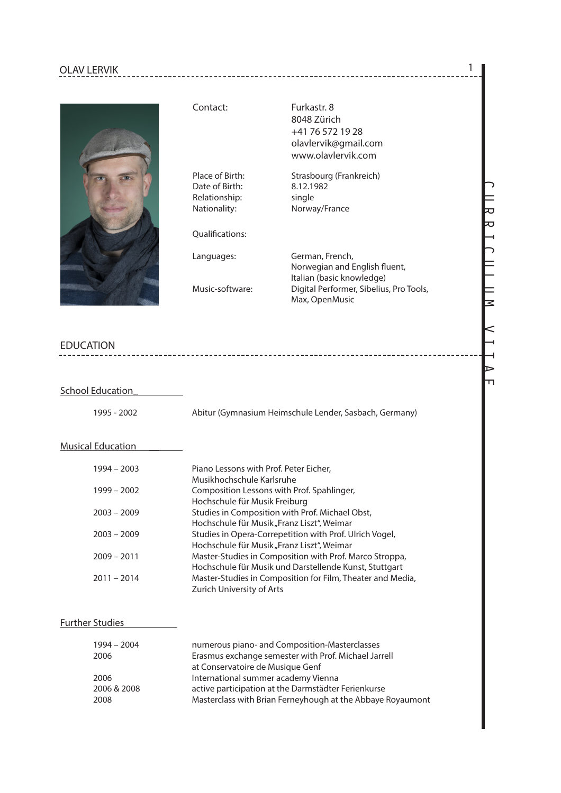## OLAV LERVIK 1



Date of Birth: 8.12.1982 Relationship: single

Qualifcations:

Contact: Furkastr. 8 8048 Zürich +41 76 572 19 28 olavlervik@gmail.com www.olavlervik.com

Place of Birth: Strasbourg (Frankreich) Nationality: Norway/France

Languages: German, French, Norwegian and English fuent, Italian (basic knowledge)<br>Music-software: Digital Performer. Sibelius Digital Performer, Sibelius, Pro Tools, Max, OpenMusic

### EDUCATION

#### School Education

1995 - 2002 Abitur (Gymnasium Heimschule Lender, Sasbach, Germany)

----------------------------

#### **Musical Education**

| 1994 - 2003   | Piano Lessons with Prof. Peter Eicher,                     |
|---------------|------------------------------------------------------------|
|               | Musikhochschule Karlsruhe                                  |
| $1999 - 2002$ | Composition Lessons with Prof. Spahlinger,                 |
|               | Hochschule für Musik Freiburg                              |
| $2003 - 2009$ | Studies in Composition with Prof. Michael Obst,            |
|               | Hochschule für Musik "Franz Liszt", Weimar                 |
| $2003 - 2009$ | Studies in Opera-Correpetition with Prof. Ulrich Vogel,    |
|               | Hochschule für Musik "Franz Liszt", Weimar                 |
| $2009 - 2011$ | Master-Studies in Composition with Prof. Marco Stroppa,    |
|               | Hochschule für Musik und Darstellende Kunst, Stuttgart     |
| $2011 - 2014$ | Master-Studies in Composition for Film, Theater and Media, |
|               | Zurich University of Arts                                  |
|               |                                                            |

#### Further Studies

| $1994 - 2004$ | numerous piano- and Composition-Masterclasses              |
|---------------|------------------------------------------------------------|
| 2006          | Erasmus exchange semester with Prof. Michael Jarrell       |
|               | at Conservatoire de Musique Genf                           |
| 2006          | International summer academy Vienna                        |
| 2006 & 2008   | active participation at the Darmstädter Ferienkurse        |
| 2008          | Masterclass with Brian Ferneyhough at the Abbaye Royaumont |

# CURRICULUM VITAE IJ IJ っ  $\equiv$ <br> $\equiv$  $\leq$

Ъ  $\overline{\mathbf{u}}$